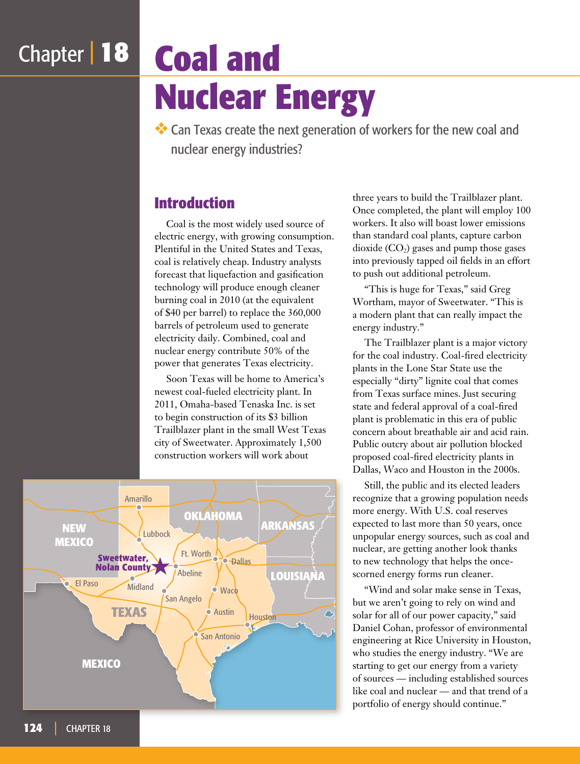# Chapter | **18 Coal and Nuclear Energy**

❖ Can Texas create the next generation of workers for the new coal and nuclear energy industries?

### **Introduction**

Coal is the most widely used source of electric energy, with growing consumption. Plentiful in the United States and Texas, coal is relatively cheap. Industry analysts forecast that liquefaction and gasification technology will produce enough cleaner burning coal in 2010 (at the equivalent of \$40 per barrel) to replace the 360,000 barrels of petroleum used to generate electricity daily. Combined, coal and nuclear energy contribute 50% of the power that generates Texas electricity.

Soon Texas will be home to America's newest coal-fueled electricity plant. In 2011, Omaha-based Tenaska Inc. is set to begin construction of its \$3 billion Trailblazer plant in the small West Texas city of Sweetwater. Approximately 1,500 construction workers will work about



three years to build the Trailblazer plant. Once completed, the plant will employ 100 workers. It also will boast lower emissions than standard coal plants, capture carbon dioxide  $(CO<sub>2</sub>)$  gases and pump those gases into previously tapped oil fields in an effort to push out additional petroleum.

"This is huge for Texas," said Greg Wortham, mayor of Sweetwater. "This is a modern plant that can really impact the energy industry."

The Trailblazer plant is a major victory for the coal industry. Coal-fired electricity plants in the Lone Star State use the especially "dirty" lignite coal that comes from Texas surface mines. Just securing state and federal approval of a coal-fired plant is problematic in this era of public concern about breathable air and acid rain. Public outcry about air pollution blocked proposed coal-fired electricity plants in Dallas, Waco and Houston in the 2000s.

Still, the public and its elected leaders recognize that a growing population needs more energy. With U.S. coal reserves expected to last more than 50 years, once unpopular energy sources, such as coal and nuclear, are getting another look thanks to new technology that helps the oncescorned energy forms run cleaner.

"Wind and solar make sense in Texas, but we aren't going to rely on wind and solar for all of our power capacity," said Daniel Cohan, professor of environmental engineering at Rice University in Houston, who studies the energy industry. "We are starting to get our energy from a variety of sources — including established sources like coal and nuclear — and that trend of a portfolio of energy should continue."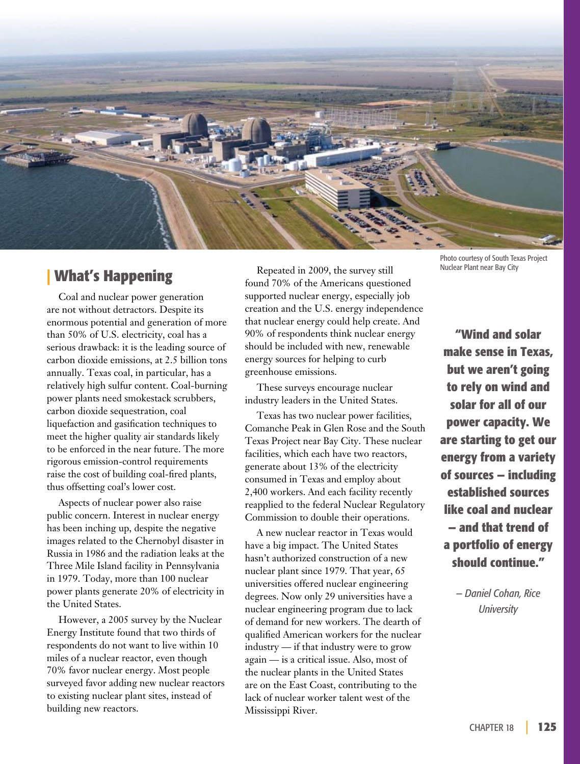

### **| What's Happening**

Coal and nuclear power generation are not without detractors. Despite its enormous potential and generation of more than 50% of U.S. electricity, coal has a serious drawback: it is the leading source of carbon dioxide emissions, at 2.5 billion tons annually. Texas coal, in particular, has a relatively high sulfur content. Coal-burning power plants need smokestack scrubbers, carbon dioxide sequestration, coal liquefaction and gasification techniques to meet the higher quality air standards likely to be enforced in the near future. The more rigorous emission-control requirements raise the cost of building coal-fired plants, thus offsetting coal's lower cost.

Aspects of nuclear power also raise public concern. Interest in nuclear energy has been inching up, despite the negative images related to the Chernobyl disaster in Russia in 1986 and the radiation leaks at the Three Mile Island facility in Pennsylvania in 1979. Today, more than 100 nuclear power plants generate 20% of electricity in the United States.

However, a 2005 survey by the Nuclear Energy Institute found that two thirds of respondents do not want to live within 10 miles of a nuclear reactor, even though 70% favor nuclear energy. Most people surveyed favor adding new nuclear reactors to existing nuclear plant sites, instead of building new reactors.

Repeated in 2009, the survey still found 70% of the Americans questioned supported nuclear energy, especially job creation and the U.S. energy independence that nuclear energy could help create. And 90% of respondents think nuclear energy should be included with new, renewable energy sources for helping to curb greenhouse emissions.

These surveys encourage nuclear industry leaders in the United States.

Texas has two nuclear power facilities, Comanche Peak in Glen Rose and the South Texas Project near Bay City. These nuclear facilities, which each have two reactors, generate about 13% of the electricity consumed in Texas and employ about 2,400 workers. And each facility recently reapplied to the federal Nuclear Regulatory Commission to double their operations.

A new nuclear reactor in Texas would have a big impact. The United States hasn't authorized construction of a new nuclear plant since 1979. That year, 65 universities offered nuclear engineering degrees. Now only 29 universities have a nuclear engineering program due to lack of demand for new workers. The dearth of qualified American workers for the nuclear industry — if that industry were to grow again — is a critical issue. Also, most of the nuclear plants in the United States are on the East Coast, contributing to the lack of nuclear worker talent west of the Mississippi River.

Photo courtesy of South Texas Project Nuclear Plant near Bay City

**"Wind and solar make sense in Texas, but we aren't going to rely on wind and solar for all of our power capacity. We are starting to get our energy from a variety of sources — including established sources like coal and nuclear — and that trend of a portfolio of energy should continue."**

> *— Daniel Cohan, Rice University*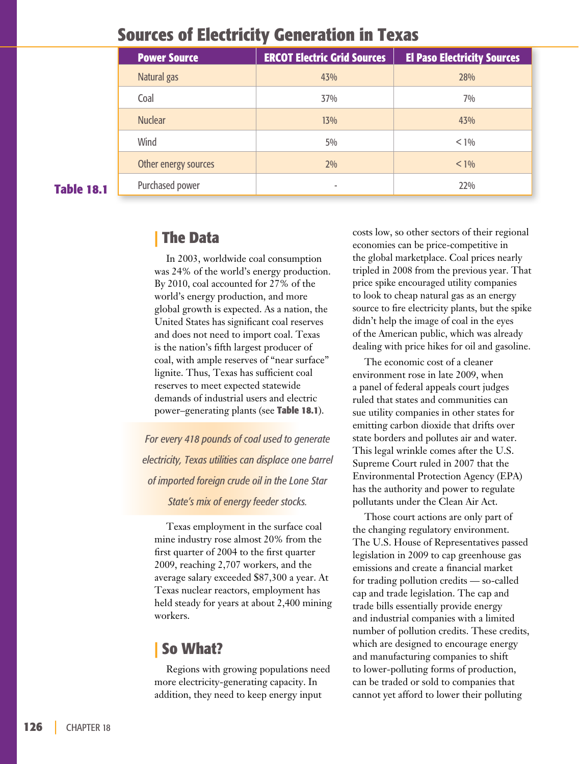## **Sources of Electricity Generation in Texas**

|                   | <b>Power Source</b>  | <b>ERCOT Electric Grid Sources</b> | <b>El Paso Electricity Sources</b> |
|-------------------|----------------------|------------------------------------|------------------------------------|
| <b>Table 18.1</b> | Natural gas          | 43%                                | 28%                                |
|                   | Coal                 | 37%                                | $7\%$                              |
|                   | <b>Nuclear</b>       | 13%                                | 43%                                |
|                   | Wind                 | $5\%$                              | $< 1\%$                            |
|                   | Other energy sources | $2\%$                              | $< 1\%$                            |
|                   | Purchased power      |                                    | 22%                                |

### **| The Data**

In 2003, worldwide coal consumption was 24% of the world's energy production. By 2010, coal accounted for 27% of the world's energy production, and more global growth is expected. As a nation, the United States has significant coal reserves and does not need to import coal. Texas is the nation's fifth largest producer of coal, with ample reserves of "near surface" lignite. Thus, Texas has sufficient coal reserves to meet expected statewide demands of industrial users and electric power–generating plants (see **Table 18.1**).

*For every 418 pounds of coal used to generate electricity, Texas utilities can displace one barrel of imported foreign crude oil in the Lone Star State's mix of energy feeder stocks.*

Texas employment in the surface coal mine industry rose almost 20% from the first quarter of 2004 to the first quarter 2009, reaching 2,707 workers, and the average salary exceeded \$87,300 a year. At Texas nuclear reactors, employment has held steady for years at about 2,400 mining workers.

### **| So What?**

Regions with growing populations need more electricity-generating capacity. In addition, they need to keep energy input

costs low, so other sectors of their regional economies can be price-competitive in the global marketplace. Coal prices nearly tripled in 2008 from the previous year. That price spike encouraged utility companies to look to cheap natural gas as an energy source to fire electricity plants, but the spike didn't help the image of coal in the eyes of the American public, which was already dealing with price hikes for oil and gasoline.

The economic cost of a cleaner environment rose in late 2009, when a panel of federal appeals court judges ruled that states and communities can sue utility companies in other states for emitting carbon dioxide that drifts over state borders and pollutes air and water. This legal wrinkle comes after the U.S. Supreme Court ruled in 2007 that the Environmental Protection Agency (EPA) has the authority and power to regulate pollutants under the Clean Air Act.

Those court actions are only part of the changing regulatory environment. The U.S. House of Representatives passed legislation in 2009 to cap greenhouse gas emissions and create a financial market for trading pollution credits — so-called cap and trade legislation. The cap and trade bills essentially provide energy and industrial companies with a limited number of pollution credits. These credits, which are designed to encourage energy and manufacturing companies to shift to lower-polluting forms of production, can be traded or sold to companies that cannot yet afford to lower their polluting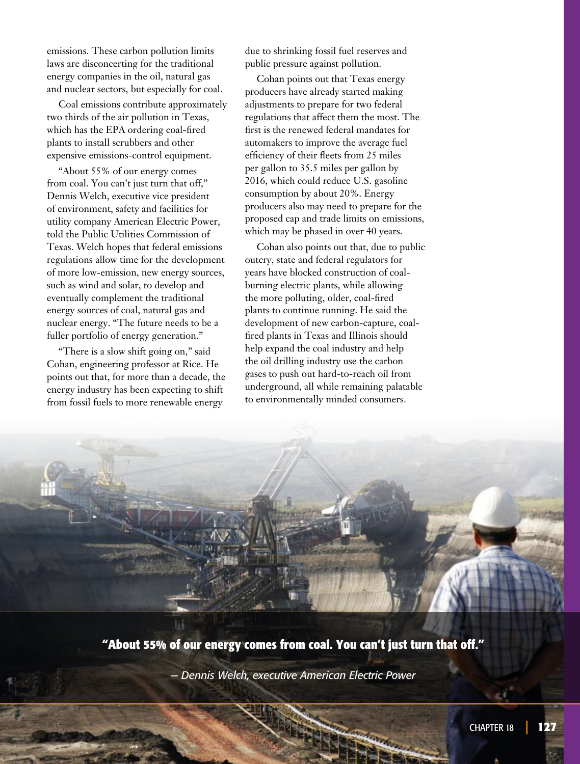emissions. These carbon pollution limits laws are disconcerting for the traditional energy companies in the oil, natural gas and nuclear sectors, but especially for coal.

Coal emissions contribute approximately two thirds of the air pollution in Texas, which has the EPA ordering coal-fired plants to install scrubbers and other expensive emissions-control equipment.

"About 55% of our energy comes from coal. You can't just turn that off," Dennis Welch, executive vice president of environment, safety and facilities for utility company American Electric Power, told the Public Utilities Commission of Texas. Welch hopes that federal emissions regulations allow time for the development of more low-emission, new energy sources, such as wind and solar, to develop and eventually complement the traditional energy sources of coal, natural gas and nuclear energy. "The future needs to be a fuller portfolio of energy generation."

"There is a slow shift going on," said Cohan, engineering professor at Rice. He points out that, for more than a decade, the energy industry has been expecting to shift from fossil fuels to more renewable energy

due to shrinking fossil fuel reserves and public pressure against pollution.

Cohan points out that Texas energy producers have already started making adjustments to prepare for two federal regulations that affect them the most. The first is the renewed federal mandates for automakers to improve the average fuel efficiency of their fleets from 25 miles per gallon to 35.5 miles per gallon by 2016, which could reduce U.S. gasoline consumption by about 20%. Energy producers also may need to prepare for the proposed cap and trade limits on emissions, which may be phased in over 40 years.

Cohan also points out that, due to public outcry, state and federal regulators for years have blocked construction of coalburning electric plants, while allowing the more polluting, older, coal-fired plants to continue running. He said the development of new carbon-capture, coalfired plants in Texas and Illinois should help expand the coal industry and help the oil drilling industry use the carbon gases to push out hard-to-reach oil from underground, all while remaining palatable to environmentally minded consumers.



**"About 55% of our energy comes from coal. You can't just turn that off."**

*— Dennis Welch, executive American Electric Power*